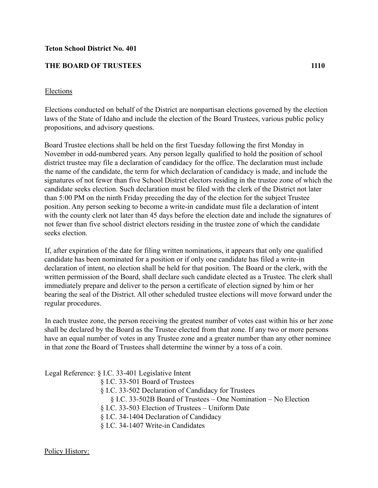## **Teton School District No. 401**

## **THE BOARD OF TRUSTEES 1110**

## Elections

Elections conducted on behalf of the District are nonpartisan elections governed by the election laws of the State of Idaho and include the election of the Board Trustees, various public policy propositions, and advisory questions.

Board Trustee elections shall be held on the first Tuesday following the first Monday in November in odd-numbered years. Any person legally qualified to hold the position of school district trustee may file a declaration of candidacy for the office. The declaration must include the name of the candidate, the term for which declaration of candidacy is made, and include the signatures of not fewer than five School District electors residing in the trustee zone of which the candidate seeks election. Such declaration must be filed with the clerk of the District not later than 5:00 PM on the ninth Friday preceding the day of the election for the subject Trustee position. Any person seeking to become a write-in candidate must file a declaration of intent with the county clerk not later than 45 days before the election date and include the signatures of not fewer than five school district electors residing in the trustee zone of which the candidate seeks election.

If, after expiration of the date for filing written nominations, it appears that only one qualified candidate has been nominated for a position or if only one candidate has filed a write-in declaration of intent, no election shall be held for that position. The Board or the clerk, with the written permission of the Board, shall declare such candidate elected as a Trustee. The clerk shall immediately prepare and deliver to the person a certificate of election signed by him or her bearing the seal of the District. All other scheduled trustee elections will move forward under the regular procedures.

In each trustee zone, the person receiving the greatest number of votes cast within his or her zone shall be declared by the Board as the Trustee elected from that zone. If any two or more persons have an equal number of votes in any Trustee zone and a greater number than any other nominee in that zone the Board of Trustees shall determine the winner by a toss of a coin.

Legal Reference: § I.C. 33-401 Legislative Intent

- § I.C. 33-501 Board of Trustees
- § I.C. 33-502 Declaration of Candidacy for Trustees
	- § I.C. 33-502B Board of Trustees One Nomination No Election
- § I.C. 33-503 Election of Trustees Uniform Date
- § I.C. 34-1404 Declaration of Candidacy
- § I.C. 34-1407 Write-in Candidates

Policy History: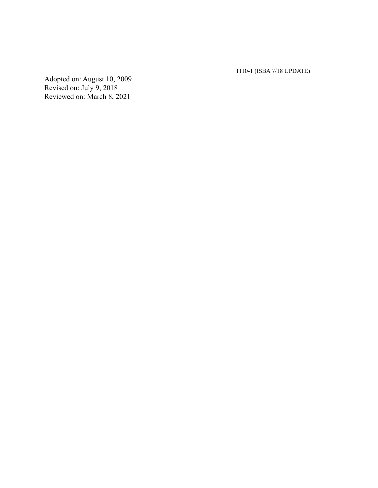1110-1 (ISBA 7/18 UPDATE)

Adopted on: August 10, 2009 Revised on: July 9, 2018 Reviewed on: March 8, 2021